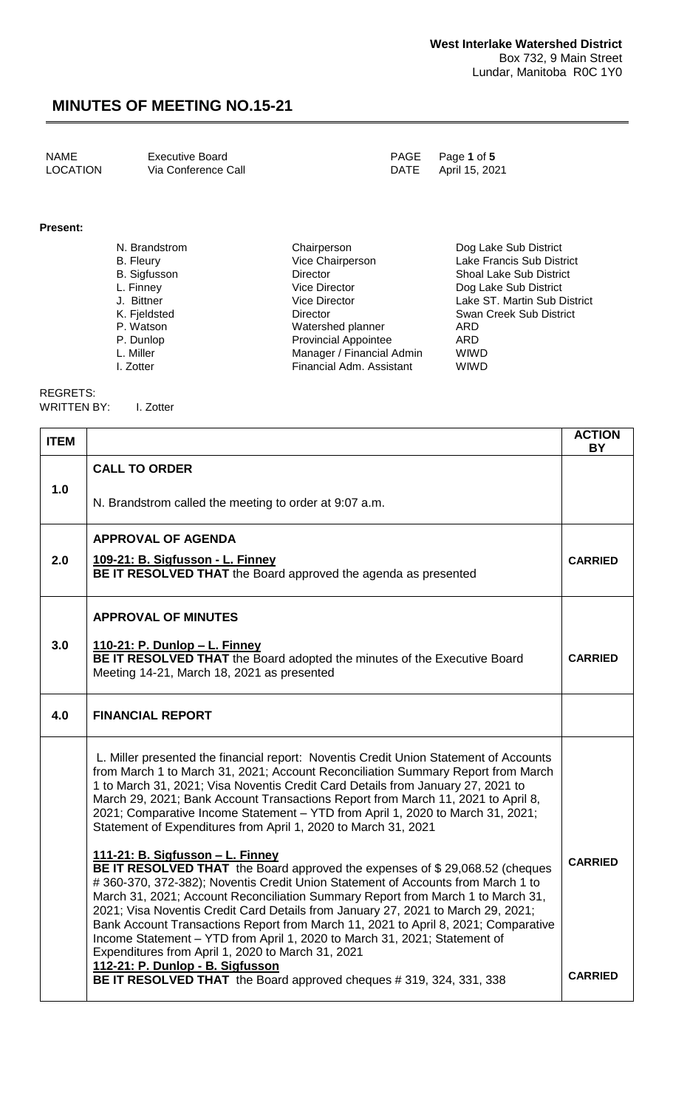NAME Executive Board PAGE Page **1** of **5** Via Conference Call

**Present:**

| N. Brandstrom       | Chairperson                 | Dog Lake Sub District          |
|---------------------|-----------------------------|--------------------------------|
| B. Fleury           | Vice Chairperson            | Lake Francis Sub District      |
| <b>B.</b> Sigfusson | <b>Director</b>             | <b>Shoal Lake Sub District</b> |
| L. Finney           | Vice Director               | Dog Lake Sub District          |
| J. Bittner          | <b>Vice Director</b>        | Lake ST. Martin Sub District   |
| K. Fjeldsted        | <b>Director</b>             | Swan Creek Sub District        |
| P. Watson           | Watershed planner           | ARD                            |
| P. Dunlop           | <b>Provincial Appointee</b> | ARD                            |
| L. Miller           | Manager / Financial Admin   | <b>WIWD</b>                    |
| I. Zotter           | Financial Adm. Assistant    | <b>WIWD</b>                    |

REGRETS:

WRITTEN BY: I. Zotter

| <b>ITEM</b> |                                                                                                                                                                                                                                                                                                                                                                                                                                                                                                                                                                                                   | <b>ACTION</b><br><b>BY</b> |
|-------------|---------------------------------------------------------------------------------------------------------------------------------------------------------------------------------------------------------------------------------------------------------------------------------------------------------------------------------------------------------------------------------------------------------------------------------------------------------------------------------------------------------------------------------------------------------------------------------------------------|----------------------------|
| 1.0         | <b>CALL TO ORDER</b><br>N. Brandstrom called the meeting to order at 9:07 a.m.                                                                                                                                                                                                                                                                                                                                                                                                                                                                                                                    |                            |
|             | <b>APPROVAL OF AGENDA</b>                                                                                                                                                                                                                                                                                                                                                                                                                                                                                                                                                                         |                            |
| 2.0         | 109-21: B. Sigfusson - L. Finney<br>BE IT RESOLVED THAT the Board approved the agenda as presented                                                                                                                                                                                                                                                                                                                                                                                                                                                                                                | <b>CARRIED</b>             |
|             | <b>APPROVAL OF MINUTES</b>                                                                                                                                                                                                                                                                                                                                                                                                                                                                                                                                                                        |                            |
| 3.0         | <u> 110-21: P. Dunlop – L. Finney</u><br>BE IT RESOLVED THAT the Board adopted the minutes of the Executive Board<br>Meeting 14-21, March 18, 2021 as presented                                                                                                                                                                                                                                                                                                                                                                                                                                   | <b>CARRIED</b>             |
| 4.0         | <b>FINANCIAL REPORT</b>                                                                                                                                                                                                                                                                                                                                                                                                                                                                                                                                                                           |                            |
|             | L. Miller presented the financial report: Noventis Credit Union Statement of Accounts<br>from March 1 to March 31, 2021; Account Reconciliation Summary Report from March<br>1 to March 31, 2021; Visa Noventis Credit Card Details from January 27, 2021 to<br>March 29, 2021; Bank Account Transactions Report from March 11, 2021 to April 8,<br>2021; Comparative Income Statement - YTD from April 1, 2020 to March 31, 2021;<br>Statement of Expenditures from April 1, 2020 to March 31, 2021                                                                                              |                            |
|             | 111-21: B. Sigfusson - L. Finney<br>BE IT RESOLVED THAT the Board approved the expenses of \$29,068.52 (cheques<br>#360-370, 372-382); Noventis Credit Union Statement of Accounts from March 1 to<br>March 31, 2021; Account Reconciliation Summary Report from March 1 to March 31,<br>2021; Visa Noventis Credit Card Details from January 27, 2021 to March 29, 2021;<br>Bank Account Transactions Report from March 11, 2021 to April 8, 2021; Comparative<br>Income Statement - YTD from April 1, 2020 to March 31, 2021; Statement of<br>Expenditures from April 1, 2020 to March 31, 2021 | <b>CARRIED</b>             |
|             | 112-21: P. Dunlop - B. Sigfusson<br><b>BE IT RESOLVED THAT</b> the Board approved cheques # 319, 324, 331, 338                                                                                                                                                                                                                                                                                                                                                                                                                                                                                    | <b>CARRIED</b>             |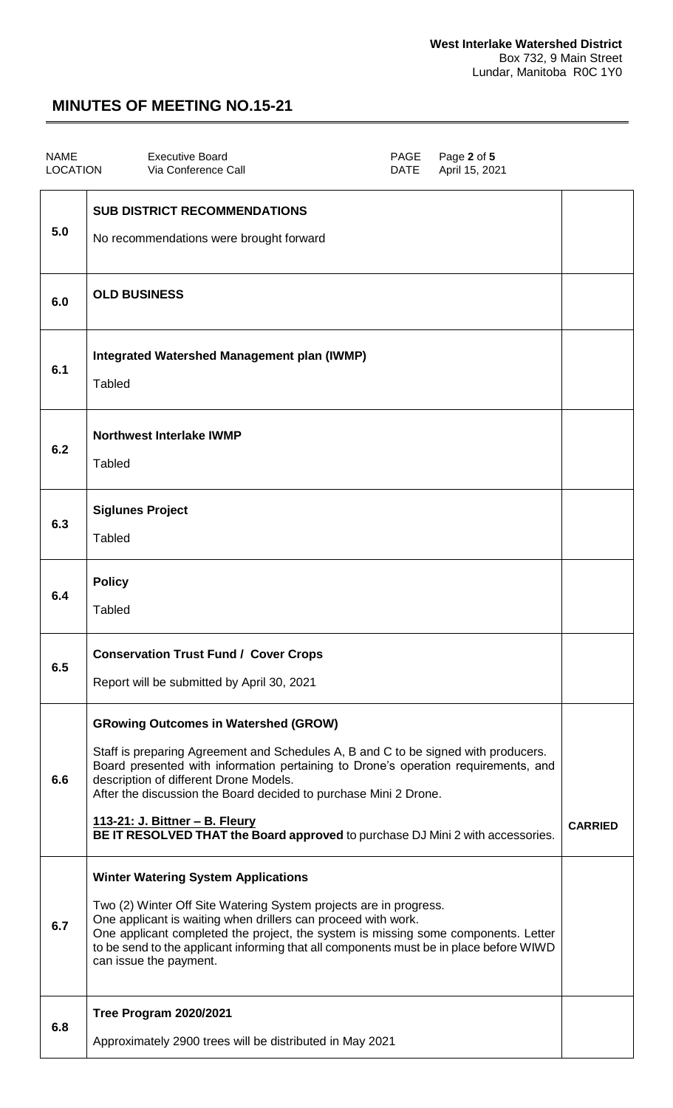| <b>NAME</b><br><b>LOCATION</b> | <b>Executive Board</b><br>Via Conference Call                                                                                                                                                                                                                                                                                                                                                                                                                     | PAGE<br><b>DATE</b> | Page 2 of 5<br>April 15, 2021 |                |
|--------------------------------|-------------------------------------------------------------------------------------------------------------------------------------------------------------------------------------------------------------------------------------------------------------------------------------------------------------------------------------------------------------------------------------------------------------------------------------------------------------------|---------------------|-------------------------------|----------------|
| 5.0                            | <b>SUB DISTRICT RECOMMENDATIONS</b><br>No recommendations were brought forward                                                                                                                                                                                                                                                                                                                                                                                    |                     |                               |                |
| 6.0                            | <b>OLD BUSINESS</b>                                                                                                                                                                                                                                                                                                                                                                                                                                               |                     |                               |                |
| 6.1                            | <b>Integrated Watershed Management plan (IWMP)</b><br><b>Tabled</b>                                                                                                                                                                                                                                                                                                                                                                                               |                     |                               |                |
| 6.2                            | <b>Northwest Interlake IWMP</b><br>Tabled                                                                                                                                                                                                                                                                                                                                                                                                                         |                     |                               |                |
| 6.3                            | <b>Siglunes Project</b><br><b>Tabled</b>                                                                                                                                                                                                                                                                                                                                                                                                                          |                     |                               |                |
| 6.4                            | <b>Policy</b><br><b>Tabled</b>                                                                                                                                                                                                                                                                                                                                                                                                                                    |                     |                               |                |
| 6.5                            | <b>Conservation Trust Fund / Cover Crops</b><br>Report will be submitted by April 30, 2021                                                                                                                                                                                                                                                                                                                                                                        |                     |                               |                |
| 6.6                            | <b>GRowing Outcomes in Watershed (GROW)</b><br>Staff is preparing Agreement and Schedules A, B and C to be signed with producers.<br>Board presented with information pertaining to Drone's operation requirements, and<br>description of different Drone Models.<br>After the discussion the Board decided to purchase Mini 2 Drone.<br><u> 113-21: J. Bittner - B. Fleury</u><br>BE IT RESOLVED THAT the Board approved to purchase DJ Mini 2 with accessories. |                     |                               | <b>CARRIED</b> |
| 6.7                            | <b>Winter Watering System Applications</b><br>Two (2) Winter Off Site Watering System projects are in progress.<br>One applicant is waiting when drillers can proceed with work.<br>One applicant completed the project, the system is missing some components. Letter<br>to be send to the applicant informing that all components must be in place before WIWD<br>can issue the payment.                                                                        |                     |                               |                |
| 6.8                            | <b>Tree Program 2020/2021</b><br>Approximately 2900 trees will be distributed in May 2021                                                                                                                                                                                                                                                                                                                                                                         |                     |                               |                |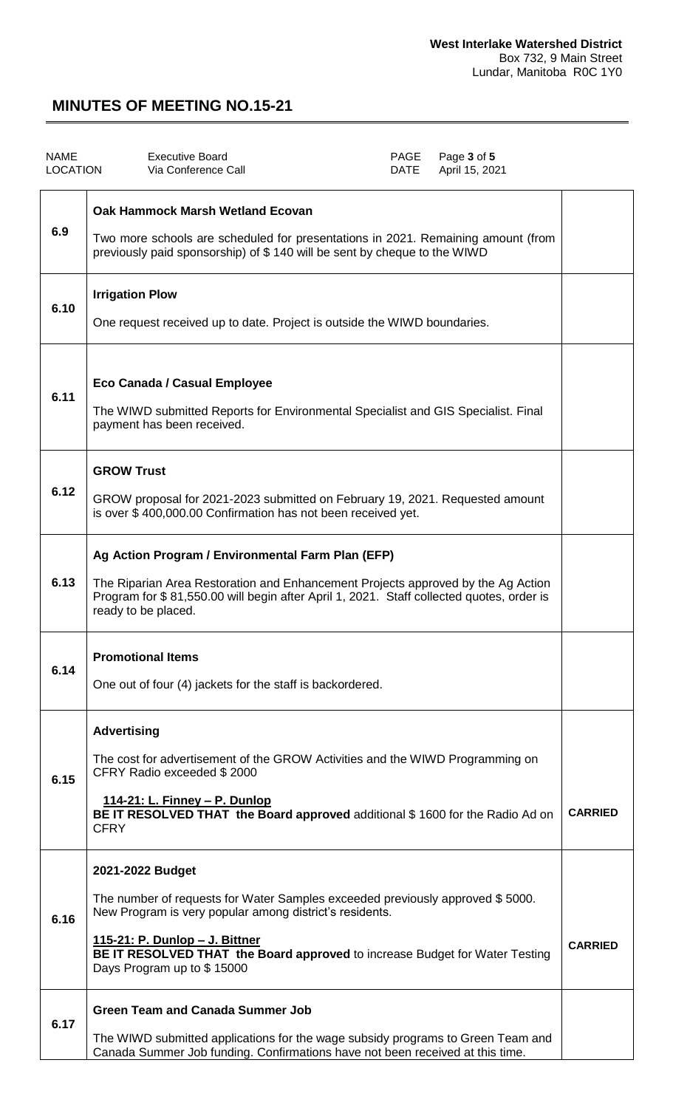| <b>NAME</b><br><b>LOCATION</b> | <b>Executive Board</b><br>PAGE<br>Page 3 of 5<br>Via Conference Call<br>April 15, 2021<br>DATE                                                                                                                                                                                                                      |                |
|--------------------------------|---------------------------------------------------------------------------------------------------------------------------------------------------------------------------------------------------------------------------------------------------------------------------------------------------------------------|----------------|
| 6.9                            | Oak Hammock Marsh Wetland Ecovan<br>Two more schools are scheduled for presentations in 2021. Remaining amount (from<br>previously paid sponsorship) of \$140 will be sent by cheque to the WIWD                                                                                                                    |                |
| 6.10                           | <b>Irrigation Plow</b><br>One request received up to date. Project is outside the WIWD boundaries.                                                                                                                                                                                                                  |                |
| 6.11                           | Eco Canada / Casual Employee<br>The WIWD submitted Reports for Environmental Specialist and GIS Specialist. Final<br>payment has been received.                                                                                                                                                                     |                |
| 6.12                           | <b>GROW Trust</b><br>GROW proposal for 2021-2023 submitted on February 19, 2021. Requested amount<br>is over \$400,000.00 Confirmation has not been received yet.                                                                                                                                                   |                |
| 6.13                           | Ag Action Program / Environmental Farm Plan (EFP)<br>The Riparian Area Restoration and Enhancement Projects approved by the Ag Action<br>Program for \$81,550.00 will begin after April 1, 2021. Staff collected quotes, order is<br>ready to be placed.                                                            |                |
| 6.14                           | <b>Promotional Items</b><br>One out of four (4) jackets for the staff is backordered.                                                                                                                                                                                                                               |                |
| 6.15                           | <b>Advertising</b><br>The cost for advertisement of the GROW Activities and the WIWD Programming on<br>CFRY Radio exceeded \$2000<br><u> 114-21: L. Finney – P. Dunlop</u><br>BE IT RESOLVED THAT the Board approved additional \$1600 for the Radio Ad on<br><b>CFRY</b>                                           | <b>CARRIED</b> |
| 6.16                           | 2021-2022 Budget<br>The number of requests for Water Samples exceeded previously approved \$5000.<br>New Program is very popular among district's residents.<br><u> 115-21: P. Dunlop – J. Bittner</u><br>BE IT RESOLVED THAT the Board approved to increase Budget for Water Testing<br>Days Program up to \$15000 | <b>CARRIED</b> |
| 6.17                           | <b>Green Team and Canada Summer Job</b><br>The WIWD submitted applications for the wage subsidy programs to Green Team and<br>Canada Summer Job funding. Confirmations have not been received at this time.                                                                                                         |                |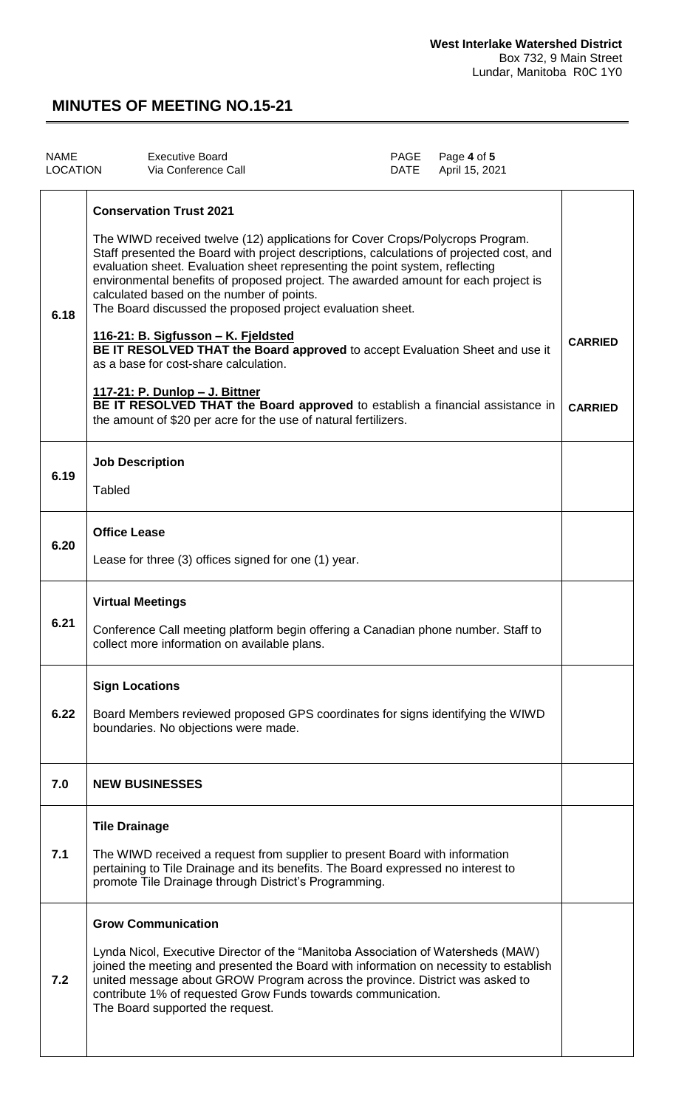| <b>NAME</b><br><b>LOCATION</b> | <b>Executive Board</b><br>Via Conference Call                                                                                                                                                                                                                                                                                                                                                                                                                                                                                                                                                                                                                                                                                                                                                                                                              | PAGE<br><b>DATE</b> | Page 4 of 5<br>April 15, 2021 |                                  |
|--------------------------------|------------------------------------------------------------------------------------------------------------------------------------------------------------------------------------------------------------------------------------------------------------------------------------------------------------------------------------------------------------------------------------------------------------------------------------------------------------------------------------------------------------------------------------------------------------------------------------------------------------------------------------------------------------------------------------------------------------------------------------------------------------------------------------------------------------------------------------------------------------|---------------------|-------------------------------|----------------------------------|
| 6.18                           | <b>Conservation Trust 2021</b><br>The WIWD received twelve (12) applications for Cover Crops/Polycrops Program.<br>Staff presented the Board with project descriptions, calculations of projected cost, and<br>evaluation sheet. Evaluation sheet representing the point system, reflecting<br>environmental benefits of proposed project. The awarded amount for each project is<br>calculated based on the number of points.<br>The Board discussed the proposed project evaluation sheet.<br>116-21: B. Sigfusson - K. Fjeldsted<br>BE IT RESOLVED THAT the Board approved to accept Evaluation Sheet and use it<br>as a base for cost-share calculation.<br><u> 117-21: P. Dunlop – J. Bittner</u><br>BE IT RESOLVED THAT the Board approved to establish a financial assistance in<br>the amount of \$20 per acre for the use of natural fertilizers. |                     |                               | <b>CARRIED</b><br><b>CARRIED</b> |
| 6.19                           | <b>Job Description</b><br><b>Tabled</b>                                                                                                                                                                                                                                                                                                                                                                                                                                                                                                                                                                                                                                                                                                                                                                                                                    |                     |                               |                                  |
| 6.20                           | <b>Office Lease</b><br>Lease for three (3) offices signed for one (1) year.                                                                                                                                                                                                                                                                                                                                                                                                                                                                                                                                                                                                                                                                                                                                                                                |                     |                               |                                  |
| 6.21                           | <b>Virtual Meetings</b><br>Conference Call meeting platform begin offering a Canadian phone number. Staff to<br>collect more information on available plans.                                                                                                                                                                                                                                                                                                                                                                                                                                                                                                                                                                                                                                                                                               |                     |                               |                                  |
| 6.22                           | <b>Sign Locations</b><br>Board Members reviewed proposed GPS coordinates for signs identifying the WIWD<br>boundaries. No objections were made.                                                                                                                                                                                                                                                                                                                                                                                                                                                                                                                                                                                                                                                                                                            |                     |                               |                                  |
| 7.0                            | <b>NEW BUSINESSES</b>                                                                                                                                                                                                                                                                                                                                                                                                                                                                                                                                                                                                                                                                                                                                                                                                                                      |                     |                               |                                  |
| 7.1                            | <b>Tile Drainage</b><br>The WIWD received a request from supplier to present Board with information<br>pertaining to Tile Drainage and its benefits. The Board expressed no interest to<br>promote Tile Drainage through District's Programming.                                                                                                                                                                                                                                                                                                                                                                                                                                                                                                                                                                                                           |                     |                               |                                  |
| 7.2                            | <b>Grow Communication</b><br>Lynda Nicol, Executive Director of the "Manitoba Association of Watersheds (MAW)<br>joined the meeting and presented the Board with information on necessity to establish<br>united message about GROW Program across the province. District was asked to<br>contribute 1% of requested Grow Funds towards communication.<br>The Board supported the request.                                                                                                                                                                                                                                                                                                                                                                                                                                                                 |                     |                               |                                  |